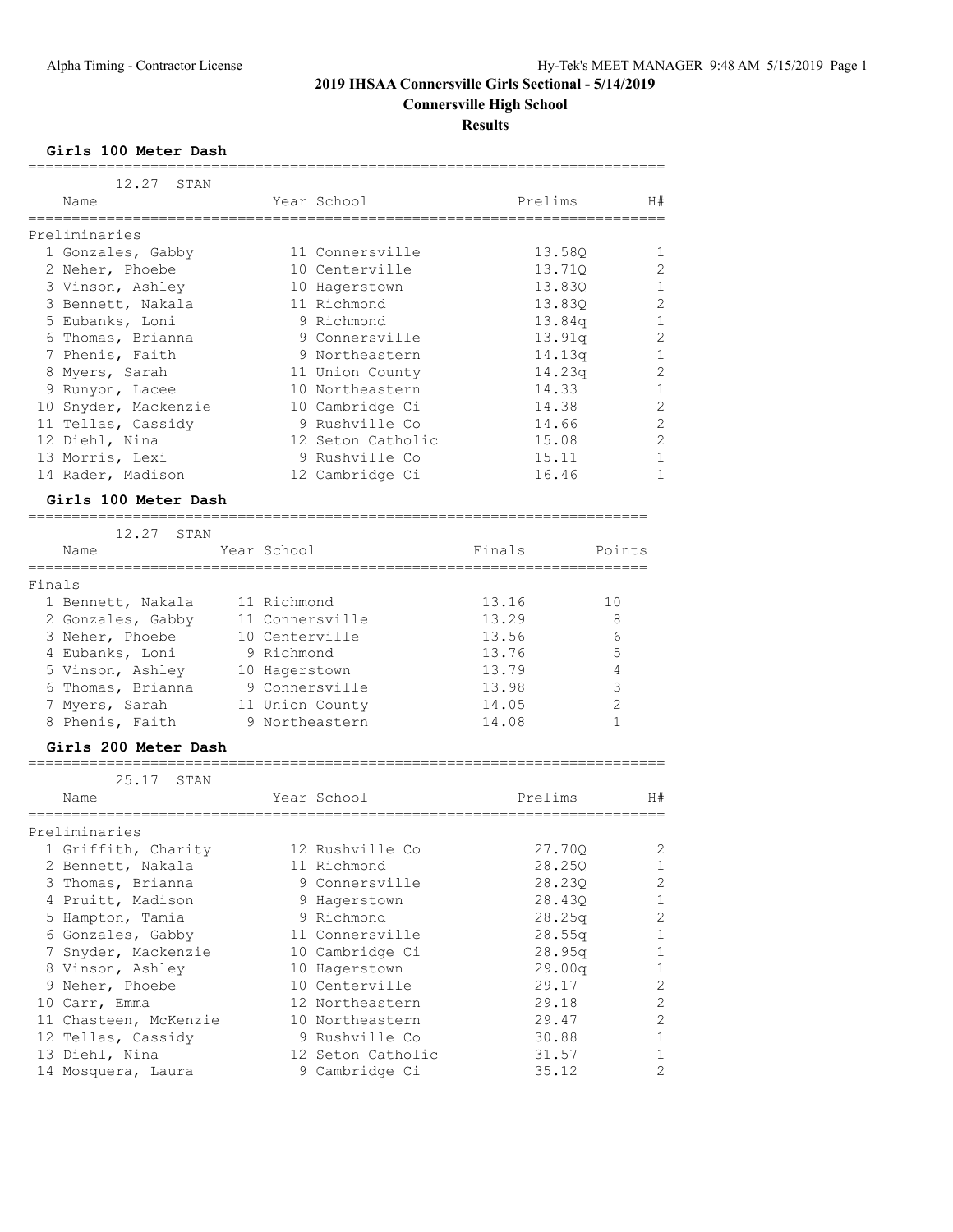# **2019 IHSAA Connersville Girls Sectional - 5/14/2019 Connersville High School**

**Results**

**Girls 100 Meter Dash**

|        | 12.27<br>STAN         |                |                   |        |         |                |
|--------|-----------------------|----------------|-------------------|--------|---------|----------------|
|        | Name                  |                | Year School       |        | Prelims | H#             |
|        |                       |                |                   |        |         |                |
|        | Preliminaries         |                |                   |        |         |                |
|        | 1 Gonzales, Gabby     |                | 11 Connersville   |        | 13.58Q  | 1              |
|        | 2 Neher, Phoebe       |                | 10 Centerville    |        | 13.710  | 2              |
|        | 3 Vinson, Ashley      |                | 10 Hagerstown     |        | 13.83Q  | 1              |
|        | 3 Bennett, Nakala     |                | 11 Richmond       |        | 13.830  | 2              |
|        | 5 Eubanks, Loni       |                | 9 Richmond        |        | 13.84q  | 1              |
|        | 6 Thomas, Brianna     |                | 9 Connersville    |        | 13.91q  | 2              |
|        | 7 Phenis, Faith       |                | 9 Northeastern    |        | 14.13q  | 1              |
|        | 8 Myers, Sarah        |                | 11 Union County   |        | 14.23q  | 2              |
|        | 9 Runyon, Lacee       |                | 10 Northeastern   |        | 14.33   | 1              |
|        | 10 Snyder, Mackenzie  |                | 10 Cambridge Ci   |        | 14.38   | $\overline{2}$ |
|        | 11 Tellas, Cassidy    |                | 9 Rushville Co    |        | 14.66   | $\overline{2}$ |
|        | 12 Diehl, Nina        |                | 12 Seton Catholic |        | 15.08   | $\overline{2}$ |
|        | 13 Morris, Lexi       |                | 9 Rushville Co    |        | 15.11   | 1              |
|        | 14 Rader, Madison     |                | 12 Cambridge Ci   |        | 16.46   | 1              |
|        | Girls 100 Meter Dash  |                |                   |        |         |                |
|        | 12.27<br>STAN         |                |                   |        |         |                |
|        | Name                  | Year School    |                   | Finals |         | Points         |
| Finals | . __ _ _ _ _ _ _ _    |                |                   |        |         |                |
|        | 1 Bennett, Nakala     | 11 Richmond    |                   | 13.16  |         | 10             |
|        | 2 Gonzales, Gabby     |                | 11 Connersville   | 13.29  |         | 8              |
|        | 3 Neher, Phoebe       | 10 Centerville |                   | 13.56  |         | 6              |
|        | 4 Eubanks, Loni       | 9 Richmond     |                   | 13.76  |         | 5              |
|        | 5 Vinson, Ashley      | 10 Hagerstown  |                   | 13.79  |         | 4              |
|        | 6 Thomas, Brianna     |                | 9 Connersville    | 13.98  |         | 3              |
|        | 7 Myers, Sarah        |                | 11 Union County   | 14.05  |         | 2              |
|        | 8 Phenis, Faith       |                | 9 Northeastern    | 14.08  |         | 1              |
|        | Girls 200 Meter Dash  |                |                   |        |         |                |
|        |                       |                |                   |        |         |                |
|        | 25.17<br>STAN         |                |                   |        |         |                |
|        | Name                  |                | Year School       |        | Prelims | H#             |
|        | Preliminaries         |                |                   |        |         |                |
|        | 1 Griffith, Charity   |                | 12 Rushville Co   |        | 27.700  | 2              |
|        | 2 Bennett, Nakala     |                | 11 Richmond       |        | 28.25Q  | 1              |
|        | 3 Thomas, Brianna     |                | 9 Connersville    |        | 28.23Q  | $\sqrt{2}$     |
|        | 4 Pruitt, Madison     |                | 9 Hagerstown      |        | 28.43Q  | $\mathbf 1$    |
|        | 5 Hampton, Tamia      |                | 9 Richmond        |        | 28.25q  | $\sqrt{2}$     |
|        | 6 Gonzales, Gabby     |                | 11 Connersville   |        | 28.55q  | $\mathbf 1$    |
|        | 7 Snyder, Mackenzie   |                | 10 Cambridge Ci   |        | 28.95q  | $\mathbf 1$    |
|        | 8 Vinson, Ashley      |                | 10 Hagerstown     |        | 29.00q  | $\mathbf 1$    |
|        | 9 Neher, Phoebe       |                | 10 Centerville    |        | 29.17   | $\mathbf{2}$   |
|        | 10 Carr, Emma         |                | 12 Northeastern   |        | 29.18   | 2              |
|        | 11 Chasteen, McKenzie |                | 10 Northeastern   |        | 29.47   | $\sqrt{2}$     |
|        | 12 Tellas, Cassidy    |                | 9 Rushville Co    |        | 30.88   | $\mathbf 1$    |
|        | 13 Diehl, Nina        |                | 12 Seton Catholic |        | 31.57   | 1              |
|        | 14 Mosquera, Laura    |                | 9 Cambridge Ci    |        | 35.12   | 2              |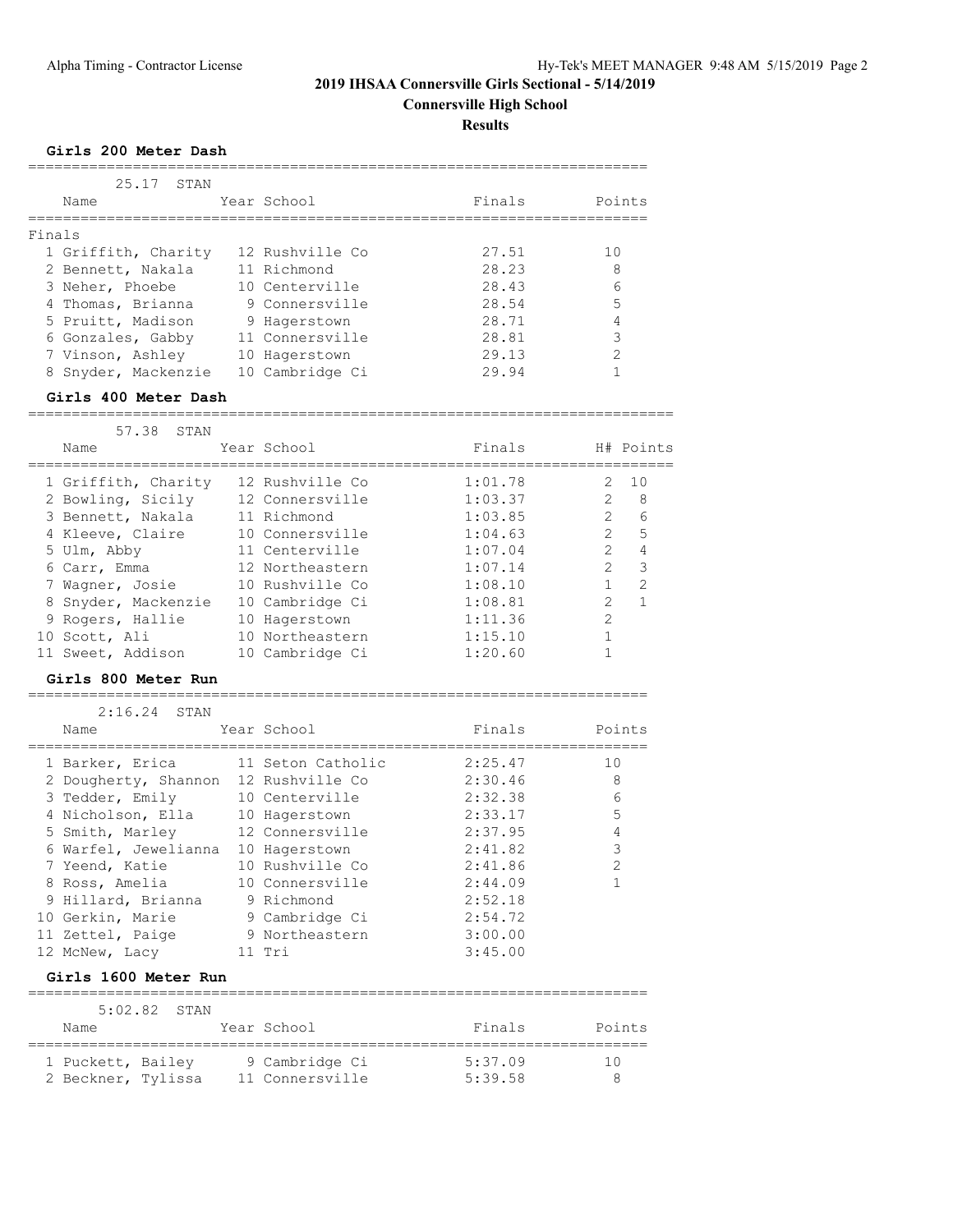**Connersville High School**

**Results**

## **Girls 200 Meter Dash**

|        | 25.17<br>STAN<br>Name | Year School     | Finals | Points |
|--------|-----------------------|-----------------|--------|--------|
| Finals |                       |                 |        |        |
|        | 1 Griffith, Charity   | 12 Rushville Co | 27.51  | 10     |
|        | 2 Bennett, Nakala     | 11 Richmond     | 28.23  | 8      |
|        | 3 Neher, Phoebe       | 10 Centerville  | 28.43  | 6      |
|        | 4 Thomas, Brianna     | 9 Connersville  | 28.54  | 5      |
|        | 5 Pruitt, Madison     | 9 Hagerstown    | 28.71  | 4      |
|        | 6 Gonzales, Gabby     | 11 Connersville | 28.81  | 3      |
|        | 7 Vinson, Ashley      | 10 Hagerstown   | 29.13  | 2      |
|        | 8 Snyder, Mackenzie   | 10 Cambridge Ci | 29.94  |        |

#### **Girls 400 Meter Dash**

========================================================================== 57.38 STAN

| $J / L$ . $J$ $(1 - I)$ |                 |         |                |               |
|-------------------------|-----------------|---------|----------------|---------------|
| Name                    | Year School     | Finals  |                | H# Points     |
| 1 Griffith, Charity     | 12 Rushville Co | 1:01.78 | $2^{\circ}$    | 10            |
| 2 Bowling, Sicily       | 12 Connersville | 1:03.37 | $\mathcal{L}$  | - 8           |
| 3 Bennett, Nakala       | 11 Richmond     | 1:03.85 | $\overline{2}$ | 6             |
| 4 Kleeve, Claire        | 10 Connersville | 1:04.63 | $\mathcal{L}$  | 5             |
| 5 Ulm, Abby             | 11 Centerville  | 1:07.04 | $\mathcal{P}$  | 4             |
| 6 Carr, Emma            | 12 Northeastern | 1:07.14 | $\mathcal{L}$  | 3             |
| 7 Wagner, Josie         | 10 Rushville Co | 1:08.10 |                | $\mathcal{L}$ |
| 8 Snyder, Mackenzie     | 10 Cambridge Ci | 1:08.81 | $\mathcal{L}$  |               |
| 9 Rogers, Hallie        | 10 Hagerstown   | 1:11.36 | $\mathcal{L}$  |               |
| 10 Scott, Ali           | 10 Northeastern | 1:15.10 |                |               |
| 11 Sweet, Addison       | 10 Cambridge Ci | 1:20.60 |                |               |
|                         |                 |         |                |               |

#### **Girls 800 Meter Run** =======================================================================

| $2:16.24$ STAN                       |                   |         |               |
|--------------------------------------|-------------------|---------|---------------|
| Name                                 | Year School       | Finals  | Points        |
| 1 Barker, Erica                      | 11 Seton Catholic | 2:25.47 | 10            |
| 2 Dougherty, Shannon 12 Rushville Co |                   | 2:30.46 | 8             |
| 3 Tedder, Emily 10 Centerville       |                   | 2:32.38 | 6             |
| 4 Nicholson, Ella                    | 10 Hagerstown     | 2:33.17 | 5             |
| 5 Smith, Marley                      | 12 Connersville   | 2:37.95 | 4             |
| 6 Warfel, Jewelianna                 | 10 Hagerstown     | 2:41.82 | 3             |
| 7 Yeend, Katie                       | 10 Rushville Co   | 2:41.86 | $\mathcal{L}$ |
| 8 Ross, Amelia                       | 10 Connersville   | 2:44.09 |               |
| 9 Hillard, Brianna                   | 9 Richmond        | 2:52.18 |               |
| 10 Gerkin, Marie                     | 9 Cambridge Ci    | 2:54.72 |               |
| 11 Zettel, Paige                     | 9 Northeastern    | 3:00.00 |               |
| 12 McNew, Lacy                       | 11 Tri            | 3:45.00 |               |

## **Girls 1600 Meter Run**

|                                         | $5:02.82$ STAN |                                   |                    |        |
|-----------------------------------------|----------------|-----------------------------------|--------------------|--------|
| Name                                    |                | Year School                       | Finals             | Points |
| 1 Puckett, Bailey<br>2 Beckner, Tylissa |                | 9 Cambridge Ci<br>11 Connersville | 5:37.09<br>5:39.58 | 10     |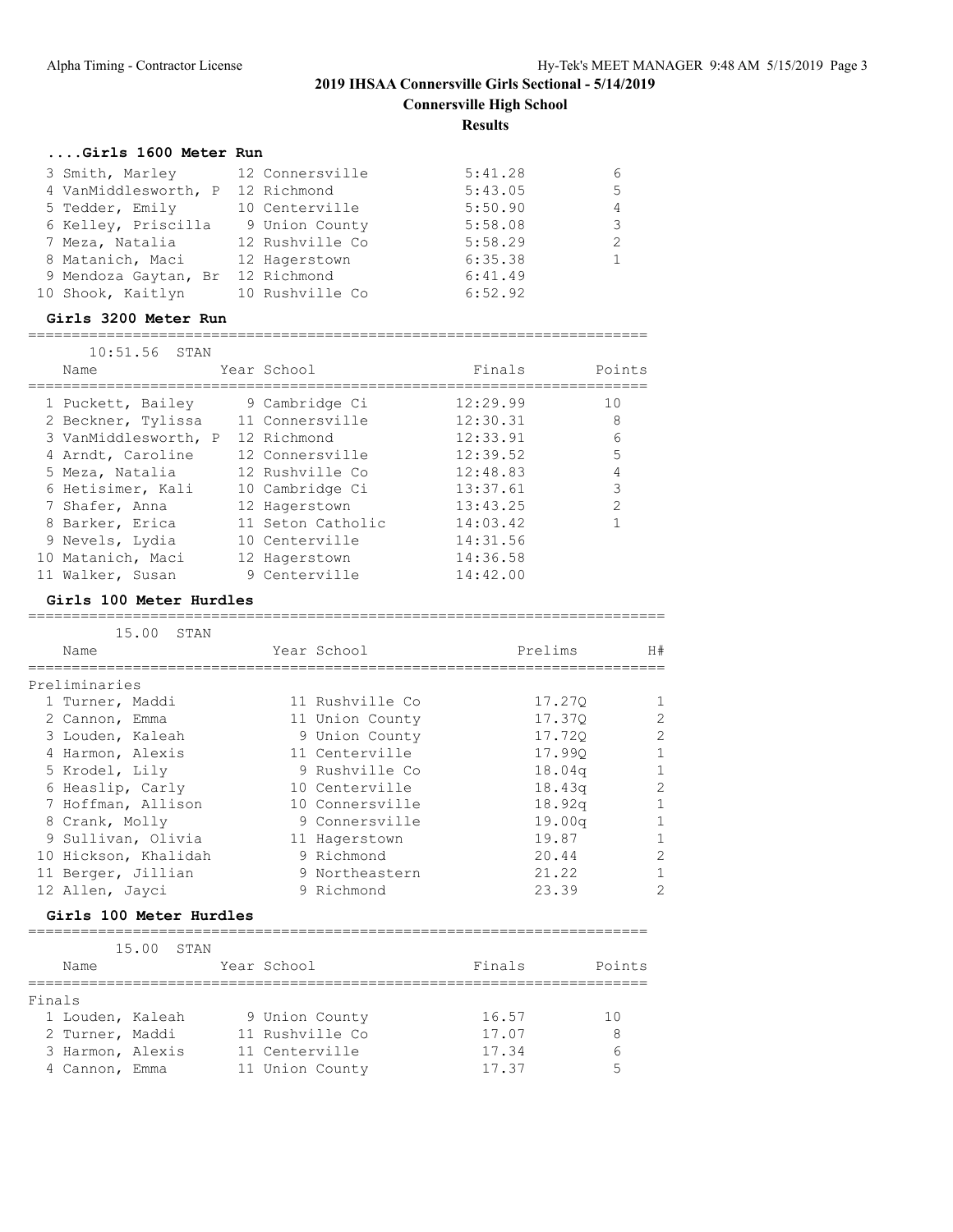# **2019 IHSAA Connersville Girls Sectional - 5/14/2019 Connersville High School**

**Results**

## **....Girls 1600 Meter Run**

| 3 Smith, Marley                  | 12 Connersville | 5:41.28 | 6 |
|----------------------------------|-----------------|---------|---|
| 4 VanMiddlesworth, P 12 Richmond |                 | 5:43.05 | 5 |
| 5 Tedder, Emily                  | 10 Centerville  | 5:50.90 | 4 |
| 6 Kelley, Priscilla              | 9 Union County  | 5:58.08 | 3 |
| 7 Meza, Natalia                  | 12 Rushville Co | 5:58.29 | 2 |
| 8 Matanich, Maci                 | 12 Hagerstown   | 6:35.38 |   |
| 9 Mendoza Gaytan, Br             | 12 Richmond     | 6:41.49 |   |
| 10 Shook, Kaitlyn                | 10 Rushville Co | 6:52.92 |   |

## **Girls 3200 Meter Run**

| 10:51.56 STAN        |                   |          |               |
|----------------------|-------------------|----------|---------------|
| Name                 | Year School       | Finals   | Points        |
| 1 Puckett, Bailey    | 9 Cambridge Ci    | 12:29.99 | 10            |
| 2 Beckner, Tylissa   | 11 Connersville   | 12:30.31 | 8             |
| 3 VanMiddlesworth, P | 12 Richmond       | 12:33.91 | 6             |
| 4 Arndt, Caroline    | 12 Connersville   | 12:39.52 | 5             |
| 5 Meza, Natalia      | 12 Rushville Co   | 12:48.83 | 4             |
| 6 Hetisimer, Kali    | 10 Cambridge Ci   | 13:37.61 | 3             |
| 7 Shafer, Anna       | 12 Hagerstown     | 13:43.25 | $\mathcal{P}$ |
| 8 Barker, Erica      | 11 Seton Catholic | 14:03.42 |               |
| 9 Nevels, Lydia      | 10 Centerville    | 14:31.56 |               |
| 10 Matanich, Maci    | 12 Hagerstown     | 14:36.58 |               |
| 11 Walker, Susan     | 9 Centerville     | 14:42.00 |               |

#### **Girls 100 Meter Hurdles**

| 15.00 STAN<br>Name   | Year School     | Prelims | H#           |
|----------------------|-----------------|---------|--------------|
| Preliminaries        |                 |         |              |
| 1 Turner, Maddi      | 11 Rushville Co | 17.270  |              |
| 2 Cannon, Emma       | 11 Union County | 17.370  | 2            |
| 3 Louden, Kaleah     | 9 Union County  | 17.720  | 2            |
| 4 Harmon, Alexis     | 11 Centerville  | 17.990  |              |
| 5 Krodel, Lily       | 9 Rushville Co  | 18.04q  |              |
| 6 Heaslip, Carly     | 10 Centerville  | 18.43q  | 2            |
| 7 Hoffman, Allison   | 10 Connersville | 18.92q  | $\mathbf{1}$ |
| 8 Crank, Molly       | 9 Connersville  | 19.00q  | $\mathbf{1}$ |
| 9 Sullivan, Olivia   | 11 Hagerstown   | 19.87   |              |
| 10 Hickson, Khalidah | 9 Richmond      | 20.44   | 2            |
| 11 Berger, Jillian   | 9 Northeastern  | 21.22   |              |
| 12 Allen, Jayci      | 9 Richmond      | 23.39   | 2            |
|                      |                 |         |              |

## **Girls 100 Meter Hurdles**

|        |                  | 15.00 | STAN |                 |        |        |
|--------|------------------|-------|------|-----------------|--------|--------|
|        | Name             |       |      | Year School     | Finals | Points |
|        |                  |       |      |                 |        |        |
| Finals |                  |       |      |                 |        |        |
|        | 1 Louden, Kaleah |       |      | 9 Union County  | 16.57  | 1 N    |
|        | 2 Turner, Maddi  |       |      | 11 Rushville Co | 17.07  | 8      |
|        | 3 Harmon, Alexis |       |      | 11 Centerville  | 17.34  | h      |
|        | 4 Cannon, Emma   |       |      | 11 Union County | 17.37  | 5      |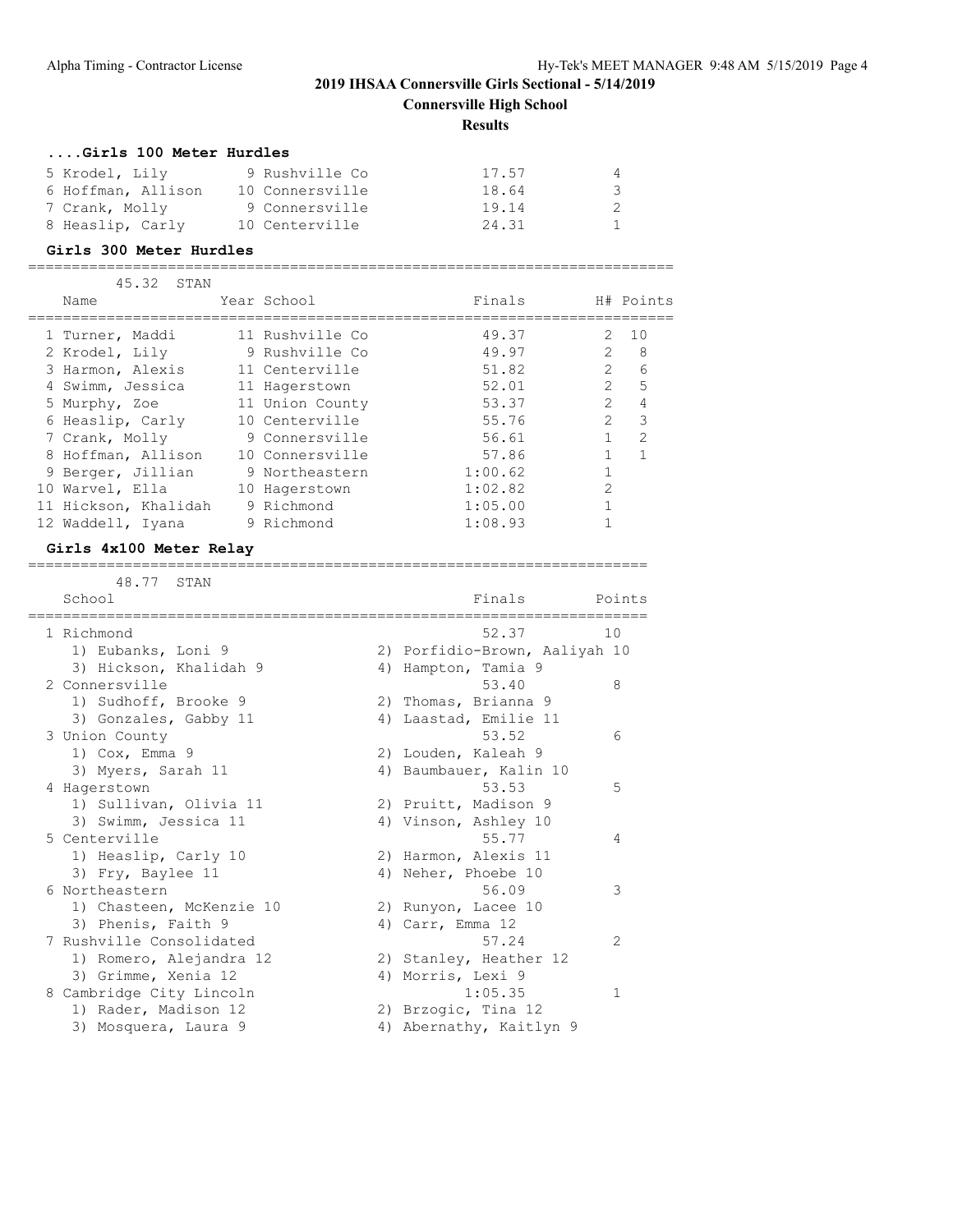**Connersville High School**

## **Results**

## **....Girls 100 Meter Hurdles**

| 5 Krodel, Lily     | 9 Rushville Co  | 17.57 | 4  |
|--------------------|-----------------|-------|----|
| 6 Hoffman, Allison | 10 Connersville | 18.64 | -3 |
| 7 Crank, Molly     | 9 Connersville  | 19.14 | -2 |
| 8 Heaslip, Carly   | 10 Centerville  | 24.31 |    |

#### **Girls 300 Meter Hurdles**

==========================================================================

| 45.32<br>STAN |                                                                                                                                                                                                                                             |                                                                                                                                                                                                                              |                |                |
|---------------|---------------------------------------------------------------------------------------------------------------------------------------------------------------------------------------------------------------------------------------------|------------------------------------------------------------------------------------------------------------------------------------------------------------------------------------------------------------------------------|----------------|----------------|
| Name          |                                                                                                                                                                                                                                             | Finals                                                                                                                                                                                                                       |                | H# Points      |
|               |                                                                                                                                                                                                                                             | 49.37                                                                                                                                                                                                                        | $\mathcal{P}$  | 10             |
|               |                                                                                                                                                                                                                                             | 49.97                                                                                                                                                                                                                        | $\mathfrak{D}$ | 8              |
|               |                                                                                                                                                                                                                                             | 51.82                                                                                                                                                                                                                        | $\mathcal{P}$  | 6              |
|               |                                                                                                                                                                                                                                             | 52.01                                                                                                                                                                                                                        | $\mathcal{P}$  | 5              |
|               |                                                                                                                                                                                                                                             | 53.37                                                                                                                                                                                                                        | $\mathcal{P}$  | 4              |
|               |                                                                                                                                                                                                                                             | 55.76                                                                                                                                                                                                                        | $\mathcal{L}$  | 3              |
|               |                                                                                                                                                                                                                                             | 56.61                                                                                                                                                                                                                        |                | $\mathfrak{D}$ |
|               |                                                                                                                                                                                                                                             | 57.86                                                                                                                                                                                                                        |                |                |
|               |                                                                                                                                                                                                                                             | 1:00.62                                                                                                                                                                                                                      |                |                |
|               |                                                                                                                                                                                                                                             | 1:02.82                                                                                                                                                                                                                      | $\overline{2}$ |                |
|               |                                                                                                                                                                                                                                             | 1:05.00                                                                                                                                                                                                                      |                |                |
|               |                                                                                                                                                                                                                                             | 1:08.93                                                                                                                                                                                                                      |                |                |
|               | 1 Turner, Maddi<br>2 Krodel, Lily<br>3 Harmon, Alexis<br>4 Swimm, Jessica<br>5 Murphy, Zoe<br>6 Heaslip, Carly<br>7 Crank, Molly<br>8 Hoffman, Allison<br>9 Berger, Jillian<br>10 Warvel, Ella<br>11 Hickson, Khalidah<br>12 Waddell, Iyana | Year School<br>11 Rushville Co<br>9 Rushville Co<br>11 Centerville<br>11 Hagerstown<br>11 Union County<br>10 Centerville<br>9 Connersville<br>10 Connersville<br>9 Northeastern<br>10 Hagerstown<br>9 Richmond<br>9 Richmond |                |                |

## **Girls 4x100 Meter Relay**

=======================================================================

| $+$ $ +$ $+$ |
|--------------|
|--------------|

| School                   | Finals                        | Points |  |
|--------------------------|-------------------------------|--------|--|
| 1 Richmond               | 52.37                         | 10     |  |
| 1) Eubanks, Loni 9       | 2) Porfidio-Brown, Aaliyah 10 |        |  |
| 3) Hickson, Khalidah 9   | 4) Hampton, Tamia 9           |        |  |
| 2 Connersville           | 53.40                         | 8      |  |
| 1) Sudhoff, Brooke 9     | 2) Thomas, Brianna 9          |        |  |
| 3) Gonzales, Gabby 11    | 4) Laastad, Emilie 11         |        |  |
| 3 Union County           | 53.52                         | 6      |  |
| 1) $Cox$ , Emma 9        | 2) Louden, Kaleah 9           |        |  |
| 3) Myers, Sarah 11       | 4) Baumbauer, Kalin 10        |        |  |
| 4 Hagerstown             | 53.53                         | 5      |  |
| 1) Sullivan, Olivia 11   | 2) Pruitt, Madison 9          |        |  |
| 3) Swimm, Jessica 11     | 4) Vinson, Ashley 10          |        |  |
| 5 Centerville            | 55.77                         | 4      |  |
| 1) Heaslip, Carly 10     | 2) Harmon, Alexis 11          |        |  |
| 3) Fry, Baylee 11        | 4) Neher, Phoebe 10           |        |  |
| 6 Northeastern           | 56.09                         | 3      |  |
| 1) Chasteen, McKenzie 10 | 2) Runyon, Lacee 10           |        |  |
| 3) Phenis, Faith 9       | 4) Carr, Emma 12              |        |  |
| 7 Rushville Consolidated | 57.24                         | 2      |  |
| 1) Romero, Alejandra 12  | 2) Stanley, Heather 12        |        |  |
| 3) Grimme, Xenia 12      | 4) Morris, Lexi 9             |        |  |
| 8 Cambridge City Lincoln | 1:05.35                       | 1      |  |
| 1) Rader, Madison 12     | 2) Brzogic, Tina 12           |        |  |
| 3) Mosquera, Laura 9     | 4) Abernathy, Kaitlyn 9       |        |  |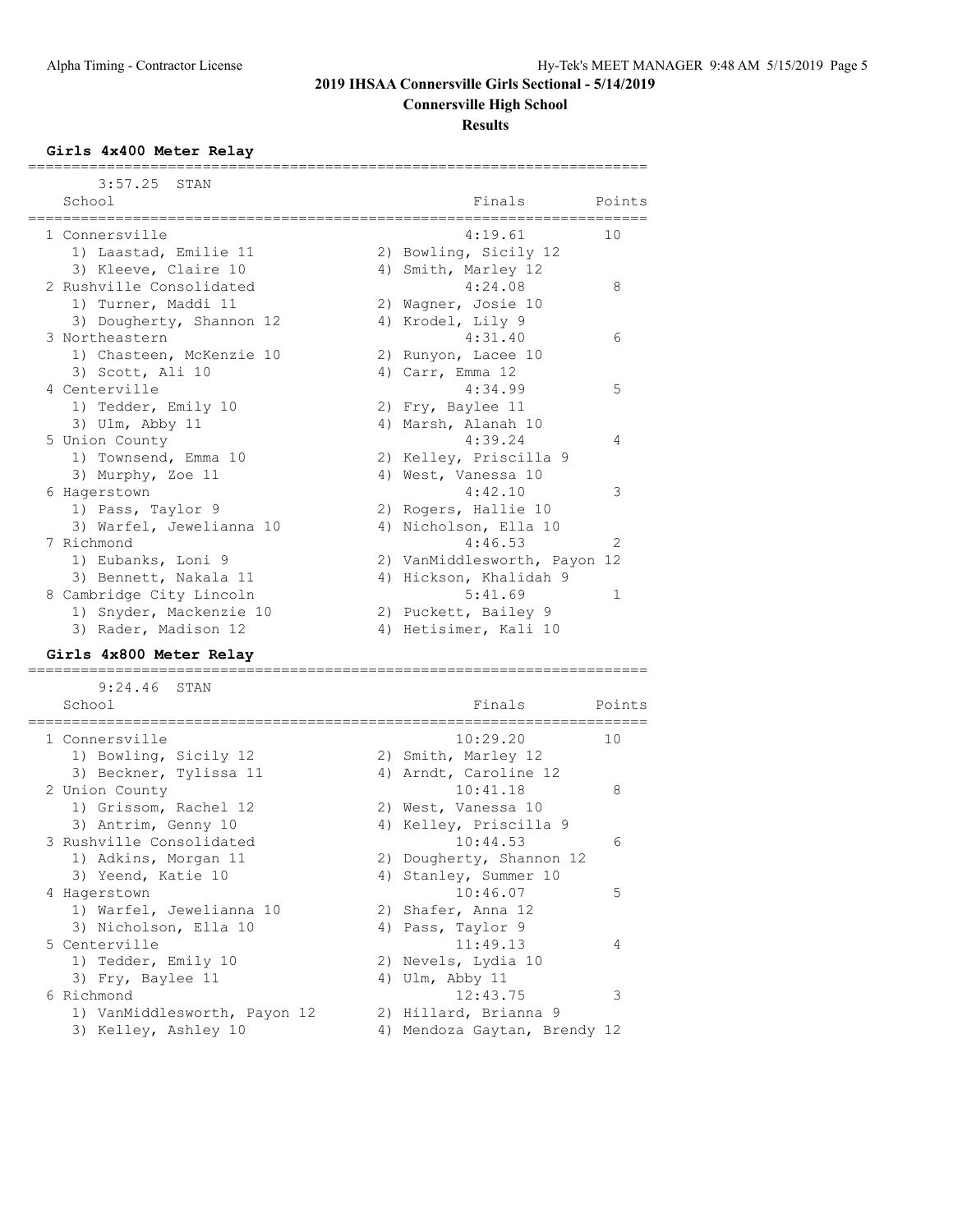## **Connersville High School**

#### **Results**

#### **Girls 4x400 Meter Relay**

 3:57.25 STAN School Finals Points ======================================================================= 1 Connersville 10 and 10 and 10 and 10 and 10 and 10 and 10 and 10 and 10 and 10 and 10 and 10 and 10 and 10 and 10 and 10 and 10 and 10 and 10 and 10 and 10 and 10 and 10 and 10 and 10 and 10 and 10 and 10 and 10 and 10 a 1) Laastad, Emilie 11 2) Bowling, Sicily 12 3) Kleeve, Claire 10 4) Smith, Marley 12 2 Rushville Consolidated 4:24.08 8 1) Turner, Maddi 11 120 2) Wagner, Josie 10 3) Dougherty, Shannon 12 (4) Krodel, Lily 9 3 Northeastern 4:31.40 6 1) Chasteen, McKenzie 10 2) Runyon, Lacee 10 3) Scott, Ali 10 (4) Carr, Emma 12 4 Centerville 4:34.99 5 1) Tedder, Emily 10 2) Fry, Baylee 11 3) Ulm, Abby 11 4) Marsh, Alanah 10 5 Union County 4:39.24 4 1) Townsend, Emma 10 2) Kelley, Priscilla 9 3) Murphy, Zoe 11 (4) West, Vanessa 10 6 Hagerstown 4:42.10 3 1) Pass, Taylor 9 2) Rogers, Hallie 10 3) Warfel, Jewelianna 10 4) Nicholson, Ella 10 7 Richmond 4:46.53 2 1) Eubanks, Loni 9 2) VanMiddlesworth, Payon 12 3) Bennett, Nakala 11 4) Hickson, Khalidah 9 8 Cambridge City Lincoln 5:41.69 1 1) Snyder, Mackenzie 10 and 2) Puckett, Bailey 9 3) Rader, Madison 12 4) Hetisimer, Kali 10

=======================================================================

#### **Girls 4x800 Meter Relay**

======================================================================= 9:24.46 STAN School **Finals** Points Points Points Points Points Points Points Points Points Points Points Points Points Points Points Points Points Points Points Points Points Points Points Points Points Points Points Points Points Poi ======================================================================= 1 Connersville 10:29.20 10 1) Bowling, Sicily 12 2) Smith, Marley 12

| 3) Beckner, Tylissa 11       | 4) Arndt, Caroline 12        |   |
|------------------------------|------------------------------|---|
| 2 Union County               | 10:41.18                     | 8 |
| 1) Grissom, Rachel 12        | 2) West, Vanessa 10          |   |
| 3) Antrim, Genny 10          | 4) Kelley, Priscilla 9       |   |
| 3 Rushville Consolidated     | 10:44.53                     | 6 |
| 1) Adkins, Morgan 11         | 2) Dougherty, Shannon 12     |   |
| 3) Yeend, Katie 10           | 4) Stanley, Summer 10        |   |
| 4 Hagerstown                 | 10:46.07                     | 5 |
| 1) Warfel, Jewelianna 10     | 2) Shafer, Anna 12           |   |
| 3) Nicholson, Ella 10        | 4) Pass, Taylor 9            |   |
| 5 Centerville                | 11:49.13                     | 4 |
| 1) Tedder, Emily 10          | 2) Nevels, Lydia 10          |   |
| 3) Fry, Baylee 11            | 4) Ulm, Abby 11              |   |
| 6 Richmond                   | 12:43.75                     | 3 |
| 1) VanMiddlesworth, Payon 12 | 2) Hillard, Brianna 9        |   |
| 3) Kelley, Ashley 10         | 4) Mendoza Gaytan, Brendy 12 |   |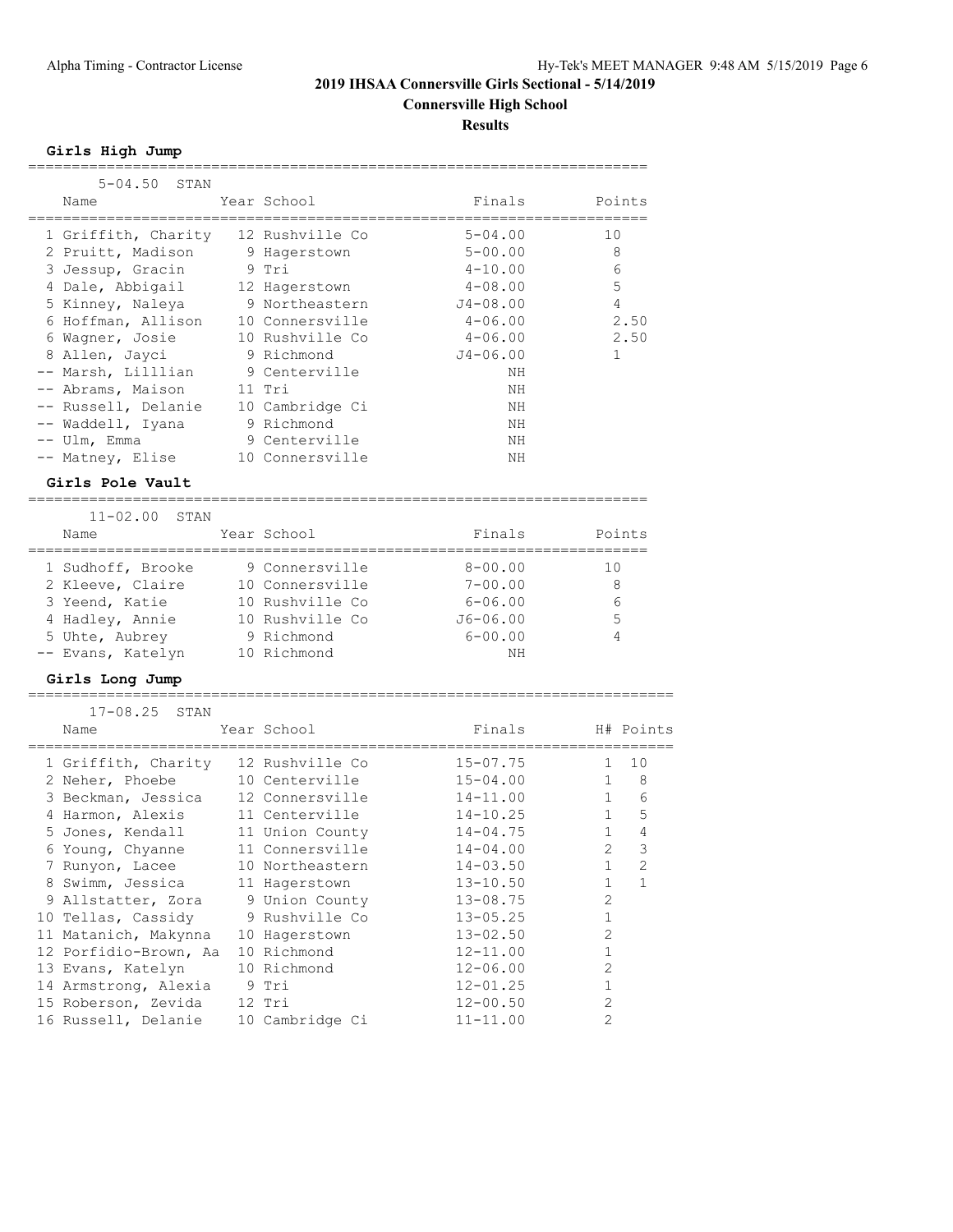**Connersville High School**

**Results**

**Girls High Jump**

| $5 - 04.50$<br>STAN   |                 |                   |                                |
|-----------------------|-----------------|-------------------|--------------------------------|
| Name                  | Year School     | Finals            | Points                         |
|                       |                 |                   |                                |
| 1 Griffith, Charity   | 12 Rushville Co | $5 - 04.00$       | 10                             |
| 2 Pruitt, Madison     | 9 Hagerstown    | $5 - 00.00$       | 8                              |
| 3 Jessup, Gracin      | 9 Tri           | $4 - 10.00$       | 6                              |
| 4 Dale, Abbigail      | 12 Hagerstown   | $4 - 08.00$       | 5                              |
| 5 Kinney, Naleya      | 9 Northeastern  | 4<br>$J4 - 08.00$ |                                |
| 6 Hoffman, Allison    | 10 Connersville | $4 - 06.00$       | 2.50                           |
| 6 Wagner, Josie       | 10 Rushville Co | $4 - 06.00$       | 2.50                           |
| 8 Allen, Jayci        | 9 Richmond      | $J4 - 06.00$      | 1                              |
| -- Marsh, Lilllian    | 9 Centerville   | NH                |                                |
| -- Abrams, Maison     | 11 Tri          | NΗ                |                                |
| -- Russell, Delanie   | 10 Cambridge Ci | ΝH                |                                |
| -- Waddell, Iyana     | 9 Richmond      | NΗ                |                                |
| -- Ulm, Emma          | 9 Centerville   | NΗ                |                                |
| -- Matney, Elise      | 10 Connersville | NΗ                |                                |
|                       |                 |                   |                                |
| Girls Pole Vault      |                 |                   |                                |
|                       |                 |                   |                                |
| $11 - 02.00$<br>STAN  |                 |                   |                                |
| Name                  | Year School     | Finals            | Points                         |
|                       |                 |                   |                                |
| 1 Sudhoff, Brooke     | 9 Connersville  | $8 - 00.00$       | 10                             |
| 2 Kleeve, Claire      | 10 Connersville | $7 - 00.00$       | 8                              |
| 3 Yeend, Katie        | 10 Rushville Co | $6 - 06.00$       | 6                              |
| 4 Hadley, Annie       | 10 Rushville Co | $J6 - 06.00$      | 5                              |
| 5 Uhte, Aubrey        | 9 Richmond      | $6 - 00.00$       | 4                              |
| -- Evans, Katelyn     | 10 Richmond     | NΗ                |                                |
| Girls Long Jump       |                 |                   |                                |
| .                     |                 |                   |                                |
| $17 - 08.25$<br>STAN  |                 |                   |                                |
| Name                  | Year School     | Finals            | H# Points                      |
|                       |                 | =======           |                                |
| 1 Griffith, Charity   | 12 Rushville Co | $15 - 07.75$      | 10<br>1                        |
| 2 Neher, Phoebe       | 10 Centerville  | $15 - 04.00$      | $\mathbf 1$<br>8               |
| 3 Beckman, Jessica    | 12 Connersville | $14 - 11.00$      | $\mathbf{1}$<br>6              |
| 4 Harmon, Alexis      | 11 Centerville  | $14 - 10.25$      | 5<br>$\mathbf{1}$              |
| 5 Jones, Kendall      | 11 Union County | $14 - 04.75$      | $\overline{4}$<br>$\mathbf{1}$ |
| 6 Young, Chyanne      | 11 Connersville | $14 - 04.00$      | $\mathfrak{D}$<br>3            |
| 7 Runyon, Lacee       | 10 Northeastern | $14 - 03.50$      | 2<br>1                         |
| 8 Swimm, Jessica      | 11 Hagerstown   | $13 - 10.50$      | 1<br>1                         |
| 9 Allstatter, Zora    | 9 Union County  | $13 - 08.75$      | 2                              |
| 10 Tellas, Cassidy    | 9 Rushville Co  | $13 - 05.25$      | 1                              |
| 11 Matanich, Makynna  | 10 Hagerstown   | $13 - 02.50$      | $\overline{2}$                 |
| 12 Porfidio-Brown, Aa | 10 Richmond     | $12 - 11.00$      | 1                              |
| 13 Evans, Katelyn     | 10 Richmond     | $12 - 06.00$      | 2                              |
| 14 Armstrong, Alexia  | 9 Tri           | $12 - 01.25$      | 1                              |
| 15 Roberson, Zevida   | 12 Tri          | $12 - 00.50$      | 2                              |
| 16 Russell, Delanie   | 10 Cambridge Ci | $11 - 11.00$      | 2                              |